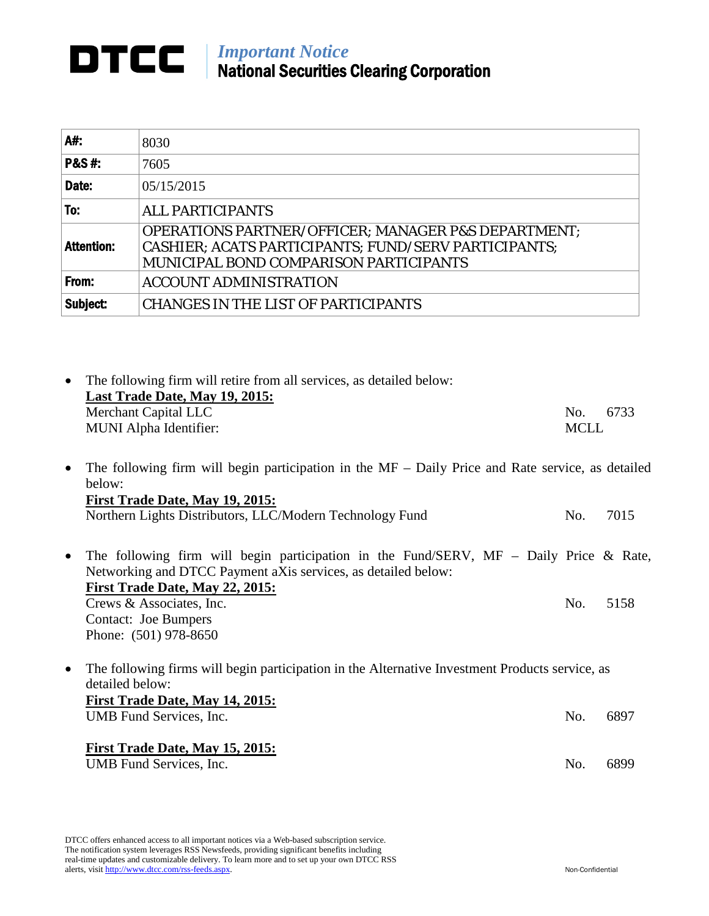## *Important Notice* National Securities Clearing Corporation

| A#:               | 8030                                                                                                                                                             |
|-------------------|------------------------------------------------------------------------------------------------------------------------------------------------------------------|
| <b>P&amp;S#:</b>  | 7605                                                                                                                                                             |
| Date:             | 05/15/2015                                                                                                                                                       |
| To:               | <b>ALL PARTICIPANTS</b>                                                                                                                                          |
| <b>Attention:</b> | <b>OPERATIONS PARTNER/OFFICER; MANAGER P&amp;S DEPARTMENT;</b><br>CASHIER; ACATS PARTICIPANTS; FUND/SERV PARTICIPANTS;<br>MUNICIPAL BOND COMPARISON PARTICIPANTS |
| From:             | <b>ACCOUNT ADMINISTRATION</b>                                                                                                                                    |
| Subject:          | <b>CHANGES IN THE LIST OF PARTICIPANTS</b>                                                                                                                       |

| $\bullet$ | The following firm will retire from all services, as detailed below:<br>Last Trade Date, May 19, 2015:        |             |      |
|-----------|---------------------------------------------------------------------------------------------------------------|-------------|------|
|           | Merchant Capital LLC                                                                                          | No.         | 6733 |
|           | MUNI Alpha Identifier:                                                                                        | <b>MCLL</b> |      |
| $\bullet$ | The following firm will begin participation in the $MF - Daily$ Price and Rate service, as detailed<br>below: |             |      |
|           | First Trade Date, May 19, 2015:                                                                               |             |      |
|           | Northern Lights Distributors, LLC/Modern Technology Fund                                                      | No.         | 7015 |
|           |                                                                                                               |             |      |
| $\bullet$ | The following firm will begin participation in the Fund/SERV, $MF - Daily$ Price & Rate,                      |             |      |
|           | Networking and DTCC Payment aXis services, as detailed below:                                                 |             |      |
|           | First Trade Date, May 22, 2015:                                                                               |             |      |
|           | Crews & Associates, Inc.                                                                                      | No.         | 5158 |
|           | <b>Contact: Joe Bumpers</b>                                                                                   |             |      |
|           | Phone: (501) 978-8650                                                                                         |             |      |
| $\bullet$ | The following firms will begin participation in the Alternative Investment Products service, as               |             |      |
|           | detailed below:                                                                                               |             |      |
|           | First Trade Date, May 14, 2015:                                                                               |             |      |
|           | UMB Fund Services, Inc.                                                                                       | No.         | 6897 |
|           |                                                                                                               |             |      |
|           | First Trade Date, May 15, 2015:                                                                               |             |      |

UMB Fund Services, Inc. 6899